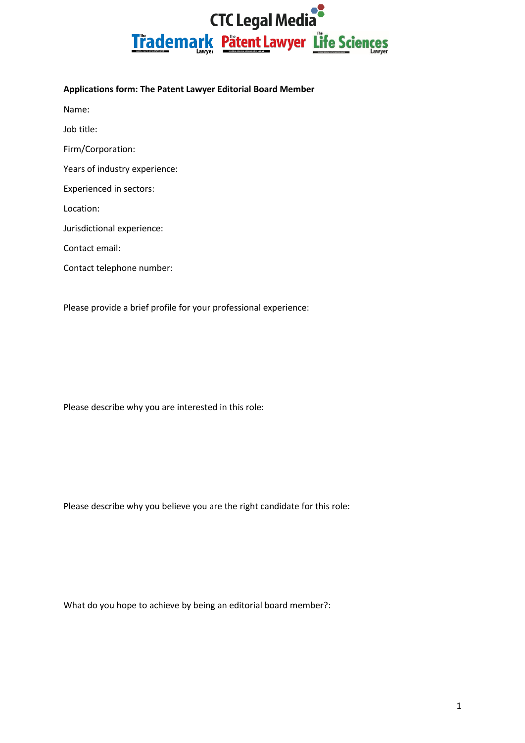## **CTC Legal Media** Trademark Pätent Lawyer Life Sciences

## **Applications form: The Patent Lawyer Editorial Board Member**

Name:

Job title:

Firm/Corporation:

Years of industry experience:

Experienced in sectors:

Location:

Jurisdictional experience:

Contact email:

Contact telephone number:

Please provide a brief profile for your professional experience:

Please describe why you are interested in this role:

Please describe why you believe you are the right candidate for this role:

What do you hope to achieve by being an editorial board member?: